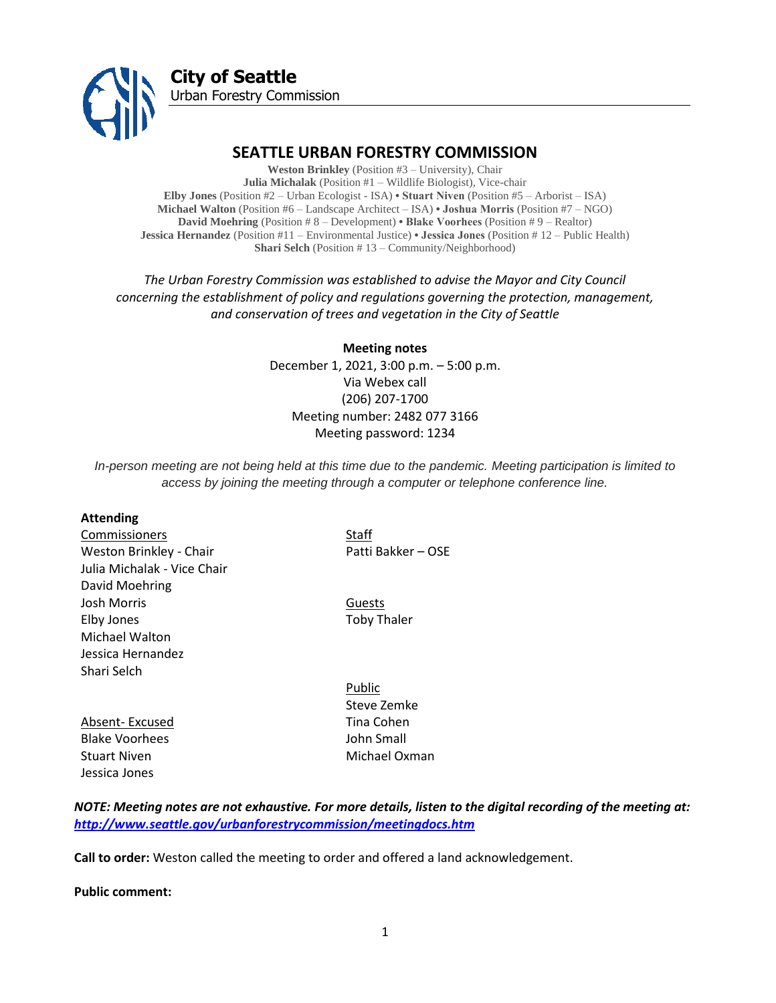

# **SEATTLE URBAN FORESTRY COMMISSION**

**Weston Brinkley** (Position #3 – University), Chair **Julia Michalak** (Position #1 – Wildlife Biologist), Vice-chair **Elby Jones** (Position #2 – Urban Ecologist - ISA) **• Stuart Niven** (Position #5 – Arborist – ISA) **Michael Walton** (Position #6 – Landscape Architect – ISA) **• Joshua Morris** (Position #7 – NGO) **David Moehring** (Position # 8 – Development) **• Blake Voorhees** (Position # 9 – Realtor) **Jessica Hernandez** (Position #11 – Environmental Justice) **• Jessica Jones** (Position # 12 – Public Health) **Shari Selch** (Position # 13 – Community/Neighborhood)

*The Urban Forestry Commission was established to advise the Mayor and City Council concerning the establishment of policy and regulations governing the protection, management, and conservation of trees and vegetation in the City of Seattle*

> **Meeting notes** December 1, 2021, 3:00 p.m. – 5:00 p.m. Via Webex call (206) 207-1700 Meeting number: 2482 077 3166 Meeting password: 1234

*In-person meeting are not being held at this time due to the pandemic. Meeting participation is limited to access by joining the meeting through a computer or telephone conference line.*

#### **Attending**

**Commissioners** Staff Weston Brinkley - Chair Patti Bakker – OSE Julia Michalak - Vice Chair David Moehring Josh Morris **Guests** Elby Jones **Toby Thaler** Michael Walton Jessica Hernandez Shari Selch

Absent- Excused Tina Cohen Blake Voorhees John Small Stuart Niven **Michael Oxman** Jessica Jones

Public Steve Zemke

# *NOTE: Meeting notes are not exhaustive. For more details, listen to the digital recording of the meeting at: <http://www.seattle.gov/urbanforestrycommission/meetingdocs.htm>*

**Call to order:** Weston called the meeting to order and offered a land acknowledgement.

**Public comment:**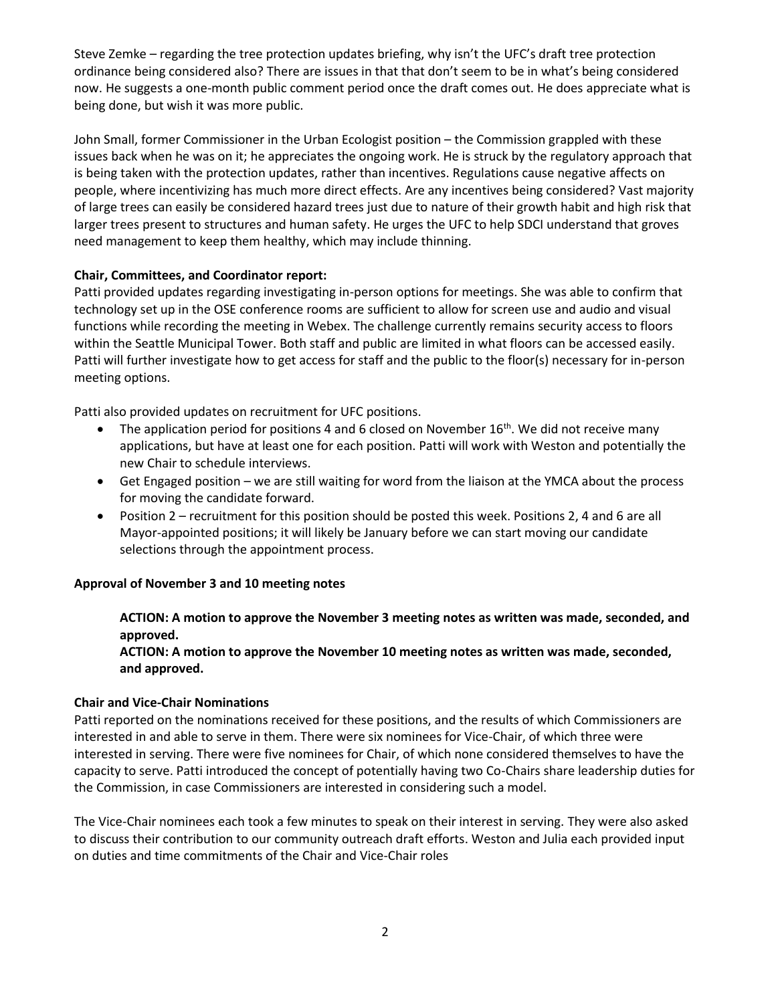Steve Zemke – regarding the tree protection updates briefing, why isn't the UFC's draft tree protection ordinance being considered also? There are issues in that that don't seem to be in what's being considered now. He suggests a one-month public comment period once the draft comes out. He does appreciate what is being done, but wish it was more public.

John Small, former Commissioner in the Urban Ecologist position – the Commission grappled with these issues back when he was on it; he appreciates the ongoing work. He is struck by the regulatory approach that is being taken with the protection updates, rather than incentives. Regulations cause negative affects on people, where incentivizing has much more direct effects. Are any incentives being considered? Vast majority of large trees can easily be considered hazard trees just due to nature of their growth habit and high risk that larger trees present to structures and human safety. He urges the UFC to help SDCI understand that groves need management to keep them healthy, which may include thinning.

### **Chair, Committees, and Coordinator report:**

Patti provided updates regarding investigating in-person options for meetings. She was able to confirm that technology set up in the OSE conference rooms are sufficient to allow for screen use and audio and visual functions while recording the meeting in Webex. The challenge currently remains security access to floors within the Seattle Municipal Tower. Both staff and public are limited in what floors can be accessed easily. Patti will further investigate how to get access for staff and the public to the floor(s) necessary for in-person meeting options.

Patti also provided updates on recruitment for UFC positions.

- The application period for positions 4 and 6 closed on November  $16<sup>th</sup>$ . We did not receive many applications, but have at least one for each position. Patti will work with Weston and potentially the new Chair to schedule interviews.
- Get Engaged position we are still waiting for word from the liaison at the YMCA about the process for moving the candidate forward.
- Position 2 recruitment for this position should be posted this week. Positions 2, 4 and 6 are all Mayor-appointed positions; it will likely be January before we can start moving our candidate selections through the appointment process.

# **Approval of November 3 and 10 meeting notes**

# **ACTION: A motion to approve the November 3 meeting notes as written was made, seconded, and approved.**

**ACTION: A motion to approve the November 10 meeting notes as written was made, seconded, and approved.** 

### **Chair and Vice-Chair Nominations**

Patti reported on the nominations received for these positions, and the results of which Commissioners are interested in and able to serve in them. There were six nominees for Vice-Chair, of which three were interested in serving. There were five nominees for Chair, of which none considered themselves to have the capacity to serve. Patti introduced the concept of potentially having two Co-Chairs share leadership duties for the Commission, in case Commissioners are interested in considering such a model.

The Vice-Chair nominees each took a few minutes to speak on their interest in serving. They were also asked to discuss their contribution to our community outreach draft efforts. Weston and Julia each provided input on duties and time commitments of the Chair and Vice-Chair roles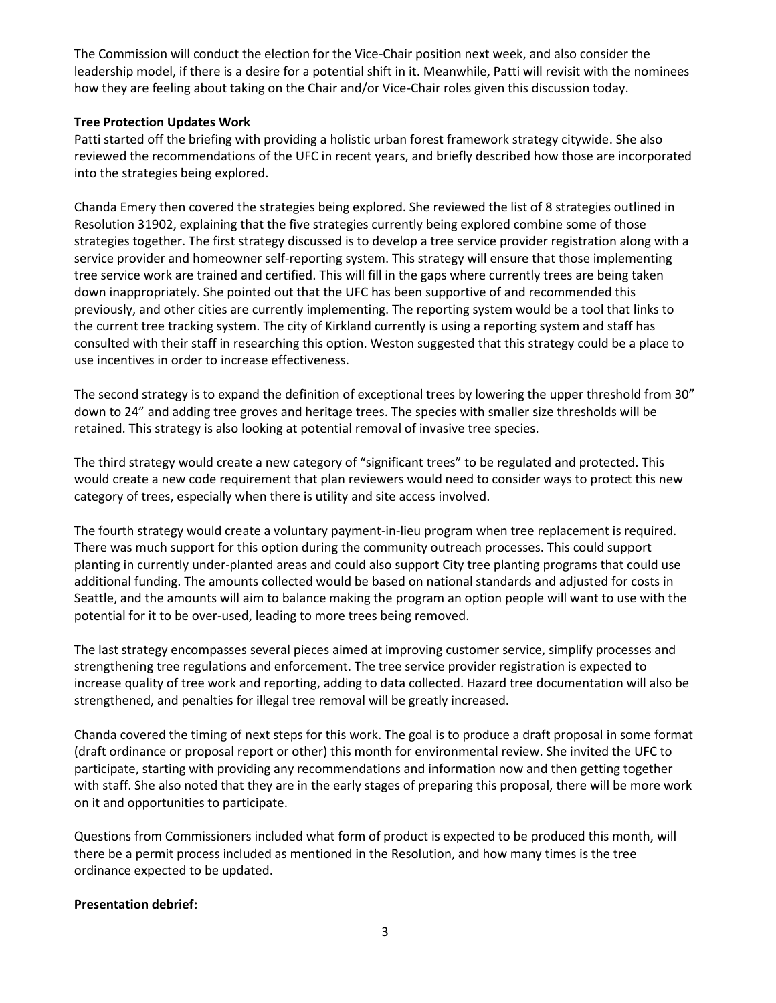The Commission will conduct the election for the Vice-Chair position next week, and also consider the leadership model, if there is a desire for a potential shift in it. Meanwhile, Patti will revisit with the nominees how they are feeling about taking on the Chair and/or Vice-Chair roles given this discussion today.

### **Tree Protection Updates Work**

Patti started off the briefing with providing a holistic urban forest framework strategy citywide. She also reviewed the recommendations of the UFC in recent years, and briefly described how those are incorporated into the strategies being explored.

Chanda Emery then covered the strategies being explored. She reviewed the list of 8 strategies outlined in Resolution 31902, explaining that the five strategies currently being explored combine some of those strategies together. The first strategy discussed is to develop a tree service provider registration along with a service provider and homeowner self-reporting system. This strategy will ensure that those implementing tree service work are trained and certified. This will fill in the gaps where currently trees are being taken down inappropriately. She pointed out that the UFC has been supportive of and recommended this previously, and other cities are currently implementing. The reporting system would be a tool that links to the current tree tracking system. The city of Kirkland currently is using a reporting system and staff has consulted with their staff in researching this option. Weston suggested that this strategy could be a place to use incentives in order to increase effectiveness.

The second strategy is to expand the definition of exceptional trees by lowering the upper threshold from 30" down to 24" and adding tree groves and heritage trees. The species with smaller size thresholds will be retained. This strategy is also looking at potential removal of invasive tree species.

The third strategy would create a new category of "significant trees" to be regulated and protected. This would create a new code requirement that plan reviewers would need to consider ways to protect this new category of trees, especially when there is utility and site access involved.

The fourth strategy would create a voluntary payment-in-lieu program when tree replacement is required. There was much support for this option during the community outreach processes. This could support planting in currently under-planted areas and could also support City tree planting programs that could use additional funding. The amounts collected would be based on national standards and adjusted for costs in Seattle, and the amounts will aim to balance making the program an option people will want to use with the potential for it to be over-used, leading to more trees being removed.

The last strategy encompasses several pieces aimed at improving customer service, simplify processes and strengthening tree regulations and enforcement. The tree service provider registration is expected to increase quality of tree work and reporting, adding to data collected. Hazard tree documentation will also be strengthened, and penalties for illegal tree removal will be greatly increased.

Chanda covered the timing of next steps for this work. The goal is to produce a draft proposal in some format (draft ordinance or proposal report or other) this month for environmental review. She invited the UFC to participate, starting with providing any recommendations and information now and then getting together with staff. She also noted that they are in the early stages of preparing this proposal, there will be more work on it and opportunities to participate.

Questions from Commissioners included what form of product is expected to be produced this month, will there be a permit process included as mentioned in the Resolution, and how many times is the tree ordinance expected to be updated.

### **Presentation debrief:**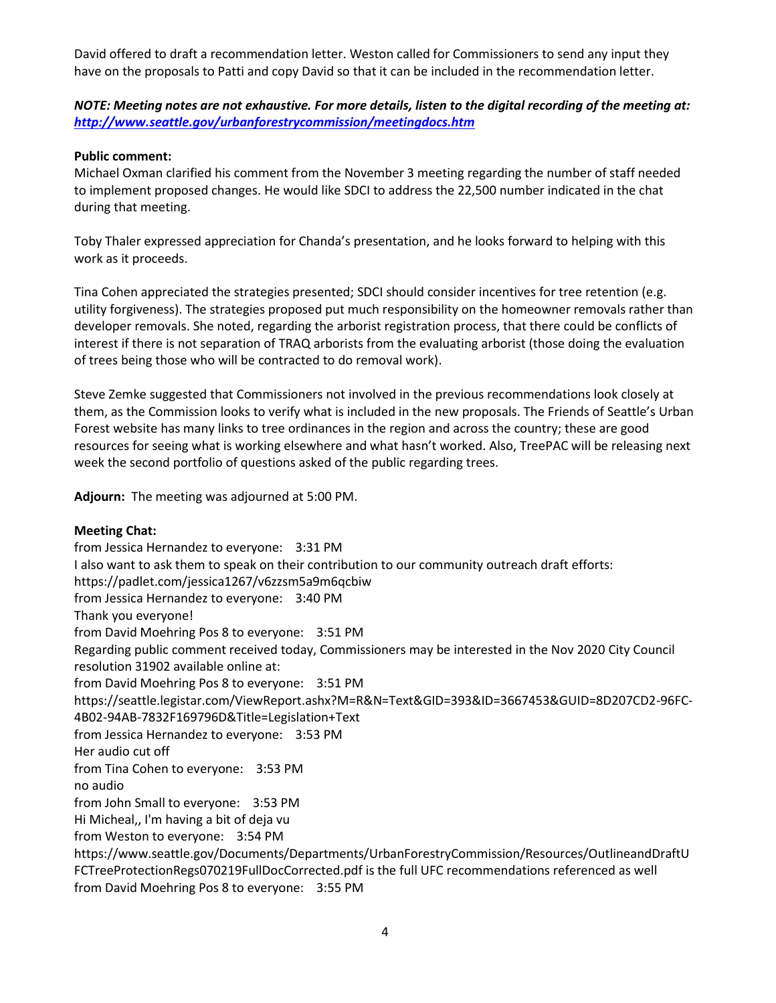David offered to draft a recommendation letter. Weston called for Commissioners to send any input they have on the proposals to Patti and copy David so that it can be included in the recommendation letter.

*NOTE: Meeting notes are not exhaustive. For more details, listen to the digital recording of the meeting at: <http://www.seattle.gov/urbanforestrycommission/meetingdocs.htm>*

### **Public comment:**

Michael Oxman clarified his comment from the November 3 meeting regarding the number of staff needed to implement proposed changes. He would like SDCI to address the 22,500 number indicated in the chat during that meeting.

Toby Thaler expressed appreciation for Chanda's presentation, and he looks forward to helping with this work as it proceeds.

Tina Cohen appreciated the strategies presented; SDCI should consider incentives for tree retention (e.g. utility forgiveness). The strategies proposed put much responsibility on the homeowner removals rather than developer removals. She noted, regarding the arborist registration process, that there could be conflicts of interest if there is not separation of TRAQ arborists from the evaluating arborist (those doing the evaluation of trees being those who will be contracted to do removal work).

Steve Zemke suggested that Commissioners not involved in the previous recommendations look closely at them, as the Commission looks to verify what is included in the new proposals. The Friends of Seattle's Urban Forest website has many links to tree ordinances in the region and across the country; these are good resources for seeing what is working elsewhere and what hasn't worked. Also, TreePAC will be releasing next week the second portfolio of questions asked of the public regarding trees.

**Adjourn:** The meeting was adjourned at 5:00 PM.

### **Meeting Chat:**

from Jessica Hernandez to everyone: 3:31 PM I also want to ask them to speak on their contribution to our community outreach draft efforts: https://padlet.com/jessica1267/v6zzsm5a9m6qcbiw from Jessica Hernandez to everyone: 3:40 PM Thank you everyone! from David Moehring Pos 8 to everyone: 3:51 PM Regarding public comment received today, Commissioners may be interested in the Nov 2020 City Council resolution 31902 available online at: from David Moehring Pos 8 to everyone: 3:51 PM https://seattle.legistar.com/ViewReport.ashx?M=R&N=Text&GID=393&ID=3667453&GUID=8D207CD2-96FC-4B02-94AB-7832F169796D&Title=Legislation+Text from Jessica Hernandez to everyone: 3:53 PM Her audio cut off from Tina Cohen to everyone: 3:53 PM no audio from John Small to everyone: 3:53 PM Hi Micheal,, I'm having a bit of deja vu from Weston to everyone: 3:54 PM https://www.seattle.gov/Documents/Departments/UrbanForestryCommission/Resources/OutlineandDraftU FCTreeProtectionRegs070219FullDocCorrected.pdf is the full UFC recommendations referenced as well from David Moehring Pos 8 to everyone: 3:55 PM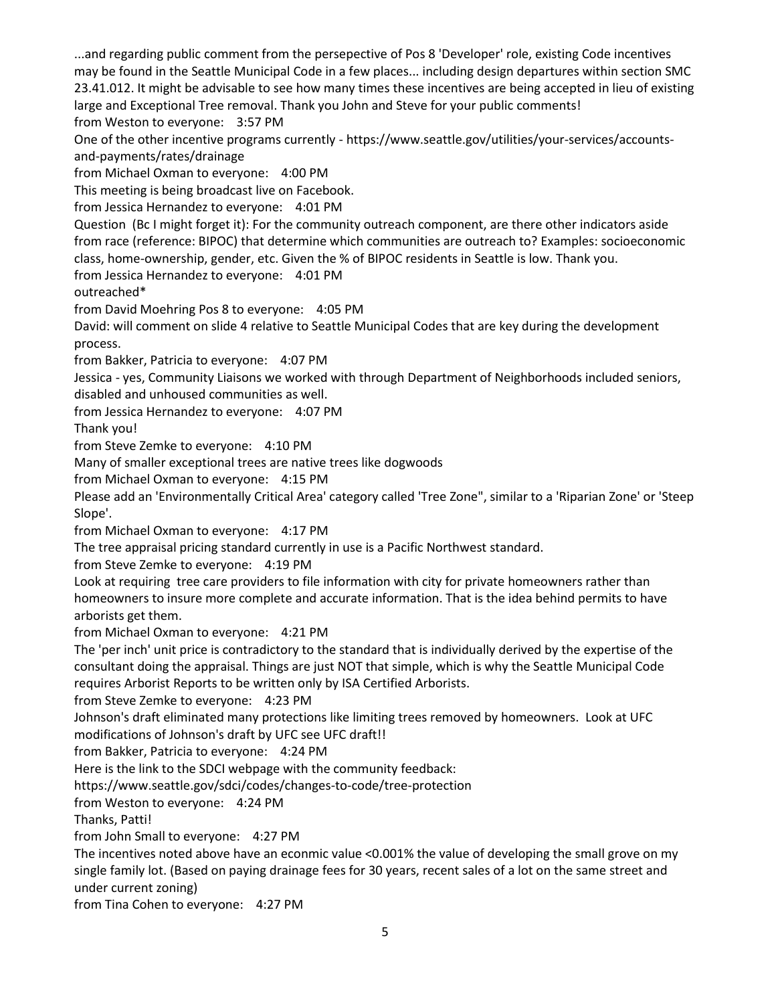...and regarding public comment from the persepective of Pos 8 'Developer' role, existing Code incentives may be found in the Seattle Municipal Code in a few places... including design departures within section SMC 23.41.012. It might be advisable to see how many times these incentives are being accepted in lieu of existing large and Exceptional Tree removal. Thank you John and Steve for your public comments! from Weston to everyone: 3:57 PM

One of the other incentive programs currently - https://www.seattle.gov/utilities/your-services/accountsand-payments/rates/drainage

from Michael Oxman to everyone: 4:00 PM

This meeting is being broadcast live on Facebook.

from Jessica Hernandez to everyone: 4:01 PM

Question (Bc I might forget it): For the community outreach component, are there other indicators aside from race (reference: BIPOC) that determine which communities are outreach to? Examples: socioeconomic class, home-ownership, gender, etc. Given the % of BIPOC residents in Seattle is low. Thank you.

from Jessica Hernandez to everyone: 4:01 PM

outreached\*

from David Moehring Pos 8 to everyone: 4:05 PM

David: will comment on slide 4 relative to Seattle Municipal Codes that are key during the development process.

from Bakker, Patricia to everyone: 4:07 PM

Jessica - yes, Community Liaisons we worked with through Department of Neighborhoods included seniors,

disabled and unhoused communities as well.

from Jessica Hernandez to everyone: 4:07 PM

Thank you!

from Steve Zemke to everyone: 4:10 PM

Many of smaller exceptional trees are native trees like dogwoods

from Michael Oxman to everyone: 4:15 PM

Please add an 'Environmentally Critical Area' category called 'Tree Zone", similar to a 'Riparian Zone' or 'Steep Slope'.

from Michael Oxman to everyone: 4:17 PM

The tree appraisal pricing standard currently in use is a Pacific Northwest standard.

from Steve Zemke to everyone: 4:19 PM

Look at requiring tree care providers to file information with city for private homeowners rather than homeowners to insure more complete and accurate information. That is the idea behind permits to have arborists get them.

from Michael Oxman to everyone: 4:21 PM

The 'per inch' unit price is contradictory to the standard that is individually derived by the expertise of the consultant doing the appraisal. Things are just NOT that simple, which is why the Seattle Municipal Code requires Arborist Reports to be written only by ISA Certified Arborists.

from Steve Zemke to everyone: 4:23 PM

Johnson's draft eliminated many protections like limiting trees removed by homeowners. Look at UFC modifications of Johnson's draft by UFC see UFC draft!!

from Bakker, Patricia to everyone: 4:24 PM

Here is the link to the SDCI webpage with the community feedback:

https://www.seattle.gov/sdci/codes/changes-to-code/tree-protection

from Weston to everyone: 4:24 PM

Thanks, Patti!

from John Small to everyone: 4:27 PM

The incentives noted above have an econmic value <0.001% the value of developing the small grove on my single family lot. (Based on paying drainage fees for 30 years, recent sales of a lot on the same street and under current zoning)

from Tina Cohen to everyone: 4:27 PM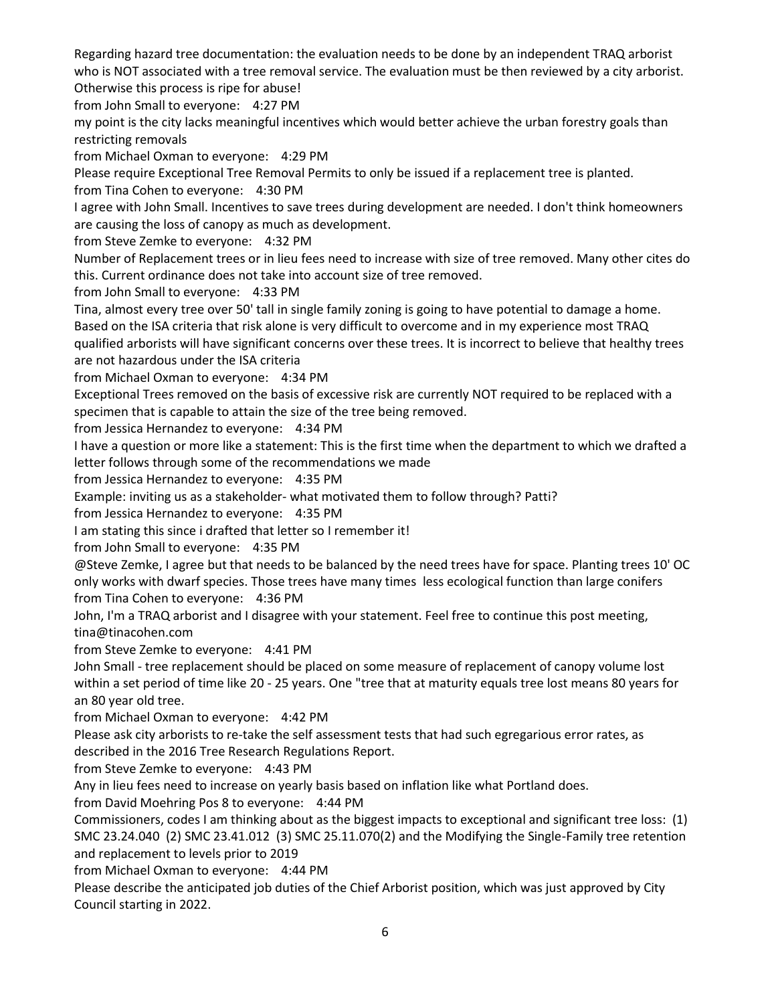Regarding hazard tree documentation: the evaluation needs to be done by an independent TRAQ arborist who is NOT associated with a tree removal service. The evaluation must be then reviewed by a city arborist. Otherwise this process is ripe for abuse!

from John Small to everyone: 4:27 PM

my point is the city lacks meaningful incentives which would better achieve the urban forestry goals than restricting removals

from Michael Oxman to everyone: 4:29 PM

Please require Exceptional Tree Removal Permits to only be issued if a replacement tree is planted.

from Tina Cohen to everyone: 4:30 PM

I agree with John Small. Incentives to save trees during development are needed. I don't think homeowners are causing the loss of canopy as much as development.

from Steve Zemke to everyone: 4:32 PM

Number of Replacement trees or in lieu fees need to increase with size of tree removed. Many other cites do this. Current ordinance does not take into account size of tree removed.

from John Small to everyone: 4:33 PM

Tina, almost every tree over 50' tall in single family zoning is going to have potential to damage a home. Based on the ISA criteria that risk alone is very difficult to overcome and in my experience most TRAQ qualified arborists will have significant concerns over these trees. It is incorrect to believe that healthy trees are not hazardous under the ISA criteria

from Michael Oxman to everyone: 4:34 PM

Exceptional Trees removed on the basis of excessive risk are currently NOT required to be replaced with a specimen that is capable to attain the size of the tree being removed.

from Jessica Hernandez to everyone: 4:34 PM

I have a question or more like a statement: This is the first time when the department to which we drafted a letter follows through some of the recommendations we made

from Jessica Hernandez to everyone: 4:35 PM

Example: inviting us as a stakeholder- what motivated them to follow through? Patti?

from Jessica Hernandez to everyone: 4:35 PM

I am stating this since i drafted that letter so I remember it!

from John Small to everyone: 4:35 PM

@Steve Zemke, I agree but that needs to be balanced by the need trees have for space. Planting trees 10' OC only works with dwarf species. Those trees have many times less ecological function than large conifers from Tina Cohen to everyone: 4:36 PM

John, I'm a TRAQ arborist and I disagree with your statement. Feel free to continue this post meeting, tina@tinacohen.com

from Steve Zemke to everyone: 4:41 PM

John Small - tree replacement should be placed on some measure of replacement of canopy volume lost within a set period of time like 20 - 25 years. One "tree that at maturity equals tree lost means 80 years for an 80 year old tree.

from Michael Oxman to everyone: 4:42 PM

Please ask city arborists to re-take the self assessment tests that had such egregarious error rates, as described in the 2016 Tree Research Regulations Report.

from Steve Zemke to everyone: 4:43 PM

Any in lieu fees need to increase on yearly basis based on inflation like what Portland does.

from David Moehring Pos 8 to everyone: 4:44 PM

Commissioners, codes I am thinking about as the biggest impacts to exceptional and significant tree loss: (1) SMC 23.24.040 (2) SMC 23.41.012 (3) SMC 25.11.070(2) and the Modifying the Single-Family tree retention and replacement to levels prior to 2019

from Michael Oxman to everyone: 4:44 PM

Please describe the anticipated job duties of the Chief Arborist position, which was just approved by City Council starting in 2022.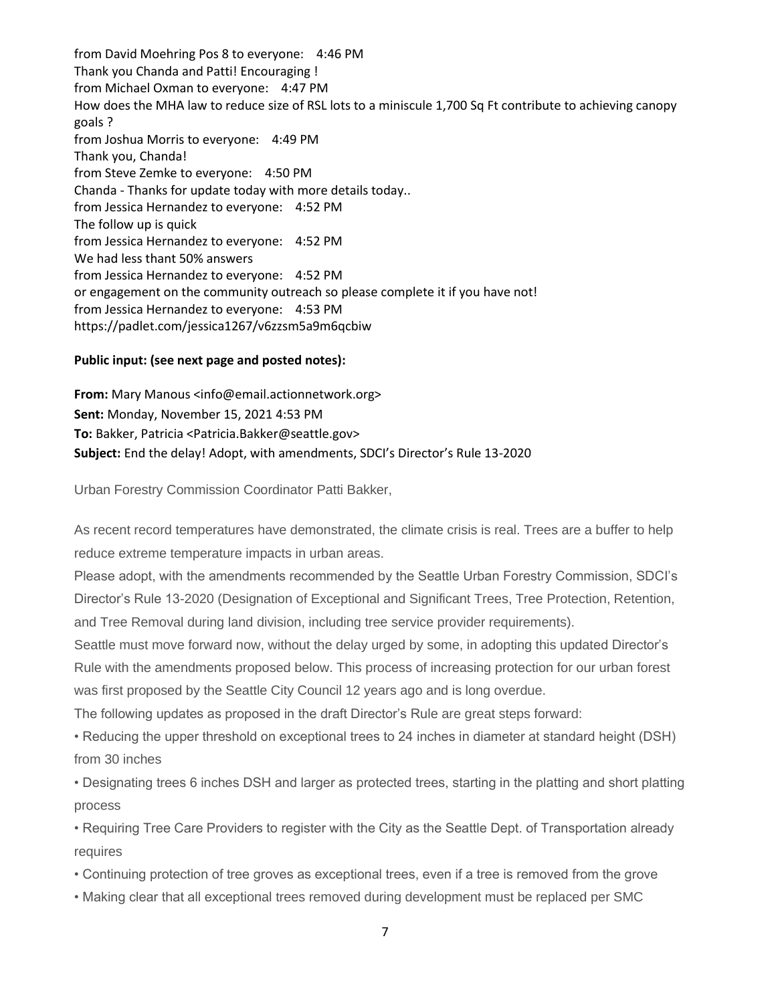from David Moehring Pos 8 to everyone: 4:46 PM Thank you Chanda and Patti! Encouraging ! from Michael Oxman to everyone: 4:47 PM How does the MHA law to reduce size of RSL lots to a miniscule 1,700 Sq Ft contribute to achieving canopy goals ? from Joshua Morris to everyone: 4:49 PM Thank you, Chanda! from Steve Zemke to everyone: 4:50 PM Chanda - Thanks for update today with more details today.. from Jessica Hernandez to everyone: 4:52 PM The follow up is quick from Jessica Hernandez to everyone: 4:52 PM We had less thant 50% answers from Jessica Hernandez to everyone: 4:52 PM or engagement on the community outreach so please complete it if you have not! from Jessica Hernandez to everyone: 4:53 PM https://padlet.com/jessica1267/v6zzsm5a9m6qcbiw

### **Public input: (see next page and posted notes):**

**From:** Mary Manous <info@email.actionnetwork.org> **Sent:** Monday, November 15, 2021 4:53 PM **To:** Bakker, Patricia <Patricia.Bakker@seattle.gov> **Subject:** End the delay! Adopt, with amendments, SDCI's Director's Rule 13-2020

Urban Forestry Commission Coordinator Patti Bakker,

As recent record temperatures have demonstrated, the climate crisis is real. Trees are a buffer to help reduce extreme temperature impacts in urban areas.

Please adopt, with the amendments recommended by the Seattle Urban Forestry Commission, SDCI's Director's Rule 13-2020 (Designation of Exceptional and Significant Trees, Tree Protection, Retention, and Tree Removal during land division, including tree service provider requirements).

Seattle must move forward now, without the delay urged by some, in adopting this updated Director's Rule with the amendments proposed below. This process of increasing protection for our urban forest was first proposed by the Seattle City Council 12 years ago and is long overdue.

The following updates as proposed in the draft Director's Rule are great steps forward:

• Reducing the upper threshold on exceptional trees to 24 inches in diameter at standard height (DSH) from 30 inches

• Designating trees 6 inches DSH and larger as protected trees, starting in the platting and short platting process

• Requiring Tree Care Providers to register with the City as the Seattle Dept. of Transportation already requires

- Continuing protection of tree groves as exceptional trees, even if a tree is removed from the grove
- Making clear that all exceptional trees removed during development must be replaced per SMC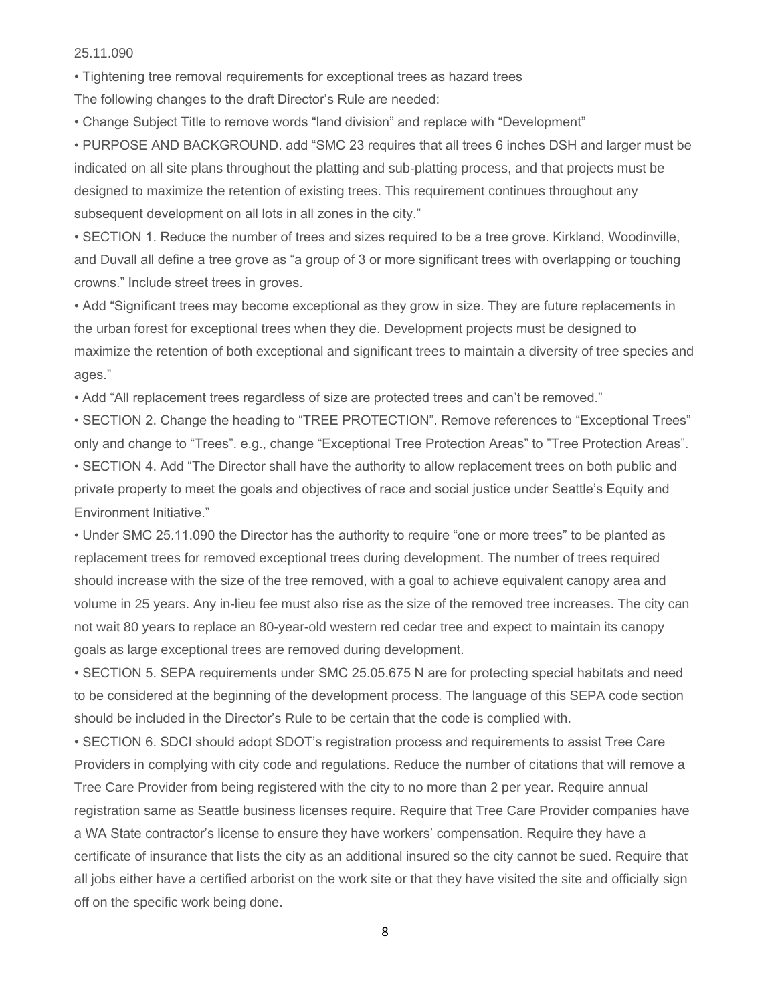25.11.090

• Tightening tree removal requirements for exceptional trees as hazard trees The following changes to the draft Director's Rule are needed:

• Change Subject Title to remove words "land division" and replace with "Development"

• PURPOSE AND BACKGROUND. add "SMC 23 requires that all trees 6 inches DSH and larger must be indicated on all site plans throughout the platting and sub-platting process, and that projects must be designed to maximize the retention of existing trees. This requirement continues throughout any subsequent development on all lots in all zones in the city."

• SECTION 1. Reduce the number of trees and sizes required to be a tree grove. Kirkland, Woodinville, and Duvall all define a tree grove as "a group of 3 or more significant trees with overlapping or touching crowns." Include street trees in groves.

• Add "Significant trees may become exceptional as they grow in size. They are future replacements in the urban forest for exceptional trees when they die. Development projects must be designed to maximize the retention of both exceptional and significant trees to maintain a diversity of tree species and ages."

• Add "All replacement trees regardless of size are protected trees and can't be removed."

• SECTION 2. Change the heading to "TREE PROTECTION". Remove references to "Exceptional Trees" only and change to "Trees". e.g., change "Exceptional Tree Protection Areas" to "Tree Protection Areas". • SECTION 4. Add "The Director shall have the authority to allow replacement trees on both public and private property to meet the goals and objectives of race and social justice under Seattle's Equity and Environment Initiative."

• Under SMC 25.11.090 the Director has the authority to require "one or more trees" to be planted as replacement trees for removed exceptional trees during development. The number of trees required should increase with the size of the tree removed, with a goal to achieve equivalent canopy area and volume in 25 years. Any in-lieu fee must also rise as the size of the removed tree increases. The city can not wait 80 years to replace an 80-year-old western red cedar tree and expect to maintain its canopy goals as large exceptional trees are removed during development.

• SECTION 5. SEPA requirements under SMC 25.05.675 N are for protecting special habitats and need to be considered at the beginning of the development process. The language of this SEPA code section should be included in the Director's Rule to be certain that the code is complied with.

• SECTION 6. SDCI should adopt SDOT's registration process and requirements to assist Tree Care Providers in complying with city code and regulations. Reduce the number of citations that will remove a Tree Care Provider from being registered with the city to no more than 2 per year. Require annual registration same as Seattle business licenses require. Require that Tree Care Provider companies have a WA State contractor's license to ensure they have workers' compensation. Require they have a certificate of insurance that lists the city as an additional insured so the city cannot be sued. Require that all jobs either have a certified arborist on the work site or that they have visited the site and officially sign off on the specific work being done.

8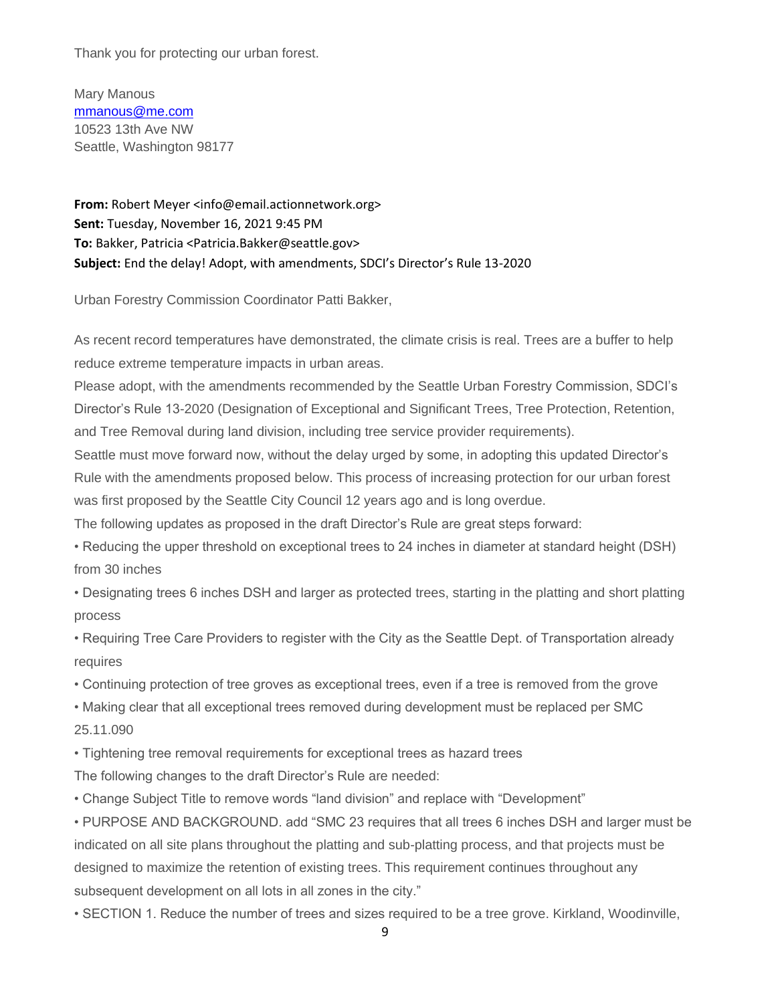Thank you for protecting our urban forest.

Mary Manous [mmanous@me.com](mailto:mmanous@me.com) 10523 13th Ave NW Seattle, Washington 98177

**From:** Robert Meyer <info@email.actionnetwork.org> **Sent:** Tuesday, November 16, 2021 9:45 PM **To:** Bakker, Patricia <Patricia.Bakker@seattle.gov> **Subject:** End the delay! Adopt, with amendments, SDCI's Director's Rule 13-2020

Urban Forestry Commission Coordinator Patti Bakker,

As recent record temperatures have demonstrated, the climate crisis is real. Trees are a buffer to help reduce extreme temperature impacts in urban areas.

Please adopt, with the amendments recommended by the Seattle Urban Forestry Commission, SDCI's Director's Rule 13-2020 (Designation of Exceptional and Significant Trees, Tree Protection, Retention, and Tree Removal during land division, including tree service provider requirements).

Seattle must move forward now, without the delay urged by some, in adopting this updated Director's Rule with the amendments proposed below. This process of increasing protection for our urban forest was first proposed by the Seattle City Council 12 years ago and is long overdue.

The following updates as proposed in the draft Director's Rule are great steps forward:

• Reducing the upper threshold on exceptional trees to 24 inches in diameter at standard height (DSH) from 30 inches

• Designating trees 6 inches DSH and larger as protected trees, starting in the platting and short platting process

• Requiring Tree Care Providers to register with the City as the Seattle Dept. of Transportation already requires

• Continuing protection of tree groves as exceptional trees, even if a tree is removed from the grove

• Making clear that all exceptional trees removed during development must be replaced per SMC 25.11.090

• Tightening tree removal requirements for exceptional trees as hazard trees

The following changes to the draft Director's Rule are needed:

• Change Subject Title to remove words "land division" and replace with "Development"

• PURPOSE AND BACKGROUND. add "SMC 23 requires that all trees 6 inches DSH and larger must be indicated on all site plans throughout the platting and sub-platting process, and that projects must be designed to maximize the retention of existing trees. This requirement continues throughout any subsequent development on all lots in all zones in the city."

• SECTION 1. Reduce the number of trees and sizes required to be a tree grove. Kirkland, Woodinville,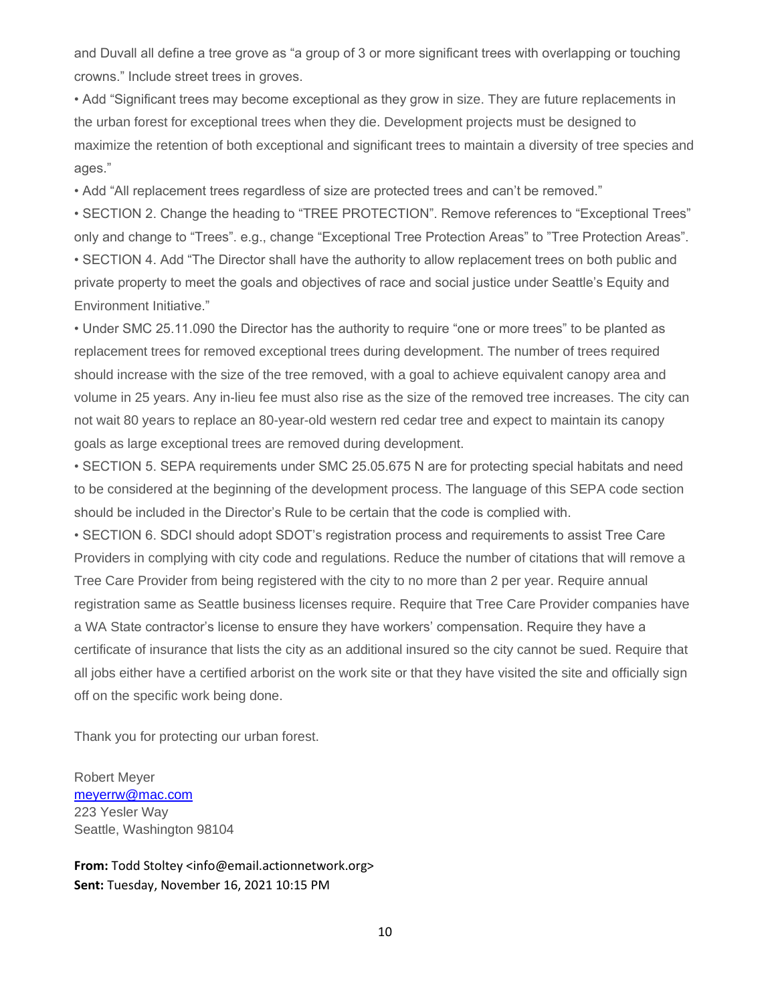and Duvall all define a tree grove as "a group of 3 or more significant trees with overlapping or touching crowns." Include street trees in groves.

• Add "Significant trees may become exceptional as they grow in size. They are future replacements in the urban forest for exceptional trees when they die. Development projects must be designed to maximize the retention of both exceptional and significant trees to maintain a diversity of tree species and ages."

• Add "All replacement trees regardless of size are protected trees and can't be removed."

• SECTION 2. Change the heading to "TREE PROTECTION". Remove references to "Exceptional Trees" only and change to "Trees". e.g., change "Exceptional Tree Protection Areas" to "Tree Protection Areas". • SECTION 4. Add "The Director shall have the authority to allow replacement trees on both public and private property to meet the goals and objectives of race and social justice under Seattle's Equity and Environment Initiative."

• Under SMC 25.11.090 the Director has the authority to require "one or more trees" to be planted as replacement trees for removed exceptional trees during development. The number of trees required should increase with the size of the tree removed, with a goal to achieve equivalent canopy area and volume in 25 years. Any in-lieu fee must also rise as the size of the removed tree increases. The city can not wait 80 years to replace an 80-year-old western red cedar tree and expect to maintain its canopy goals as large exceptional trees are removed during development.

• SECTION 5. SEPA requirements under SMC 25.05.675 N are for protecting special habitats and need to be considered at the beginning of the development process. The language of this SEPA code section should be included in the Director's Rule to be certain that the code is complied with.

• SECTION 6. SDCI should adopt SDOT's registration process and requirements to assist Tree Care Providers in complying with city code and regulations. Reduce the number of citations that will remove a Tree Care Provider from being registered with the city to no more than 2 per year. Require annual registration same as Seattle business licenses require. Require that Tree Care Provider companies have a WA State contractor's license to ensure they have workers' compensation. Require they have a certificate of insurance that lists the city as an additional insured so the city cannot be sued. Require that all jobs either have a certified arborist on the work site or that they have visited the site and officially sign off on the specific work being done.

Thank you for protecting our urban forest.

Robert Meyer [meyerrw@mac.com](mailto:meyerrw@mac.com) 223 Yesler Way Seattle, Washington 98104

**From:** Todd Stoltey <info@email.actionnetwork.org> **Sent:** Tuesday, November 16, 2021 10:15 PM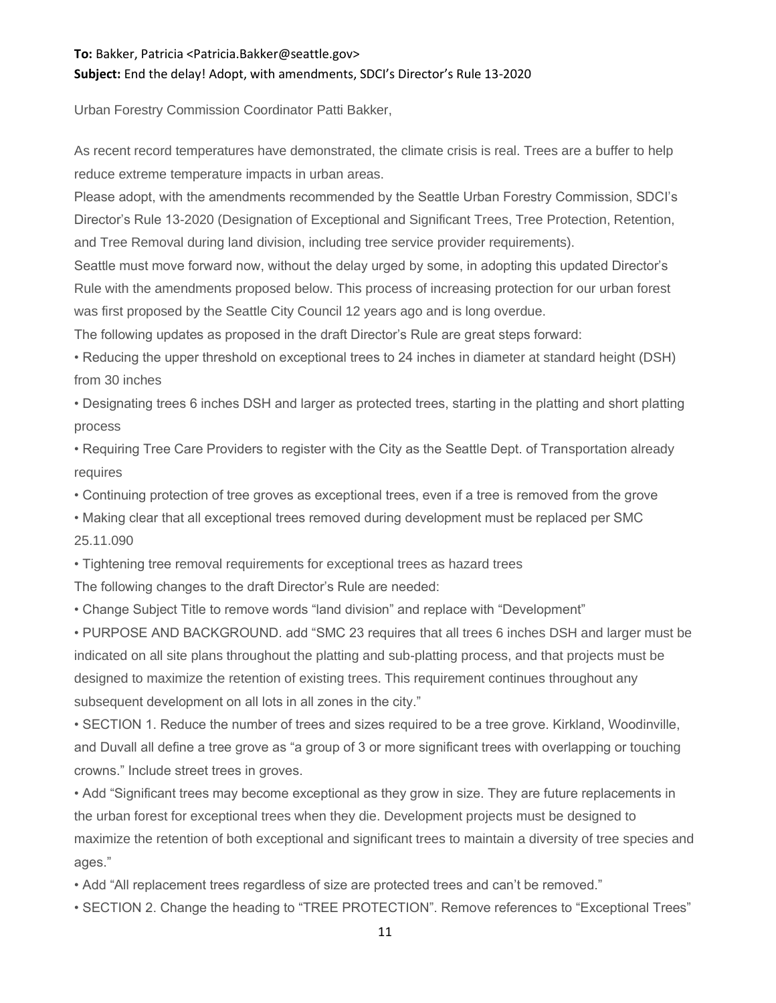#### **To:** Bakker, Patricia <Patricia.Bakker@seattle.gov>

#### **Subject:** End the delay! Adopt, with amendments, SDCI's Director's Rule 13-2020

Urban Forestry Commission Coordinator Patti Bakker,

As recent record temperatures have demonstrated, the climate crisis is real. Trees are a buffer to help reduce extreme temperature impacts in urban areas.

Please adopt, with the amendments recommended by the Seattle Urban Forestry Commission, SDCI's Director's Rule 13-2020 (Designation of Exceptional and Significant Trees, Tree Protection, Retention, and Tree Removal during land division, including tree service provider requirements).

Seattle must move forward now, without the delay urged by some, in adopting this updated Director's Rule with the amendments proposed below. This process of increasing protection for our urban forest was first proposed by the Seattle City Council 12 years ago and is long overdue.

The following updates as proposed in the draft Director's Rule are great steps forward:

• Reducing the upper threshold on exceptional trees to 24 inches in diameter at standard height (DSH) from 30 inches

• Designating trees 6 inches DSH and larger as protected trees, starting in the platting and short platting process

• Requiring Tree Care Providers to register with the City as the Seattle Dept. of Transportation already requires

• Continuing protection of tree groves as exceptional trees, even if a tree is removed from the grove

• Making clear that all exceptional trees removed during development must be replaced per SMC 25.11.090

• Tightening tree removal requirements for exceptional trees as hazard trees

The following changes to the draft Director's Rule are needed:

• Change Subject Title to remove words "land division" and replace with "Development"

• PURPOSE AND BACKGROUND. add "SMC 23 requires that all trees 6 inches DSH and larger must be indicated on all site plans throughout the platting and sub-platting process, and that projects must be designed to maximize the retention of existing trees. This requirement continues throughout any subsequent development on all lots in all zones in the city."

• SECTION 1. Reduce the number of trees and sizes required to be a tree grove. Kirkland, Woodinville, and Duvall all define a tree grove as "a group of 3 or more significant trees with overlapping or touching crowns." Include street trees in groves.

• Add "Significant trees may become exceptional as they grow in size. They are future replacements in the urban forest for exceptional trees when they die. Development projects must be designed to maximize the retention of both exceptional and significant trees to maintain a diversity of tree species and ages."

• Add "All replacement trees regardless of size are protected trees and can't be removed."

• SECTION 2. Change the heading to "TREE PROTECTION". Remove references to "Exceptional Trees"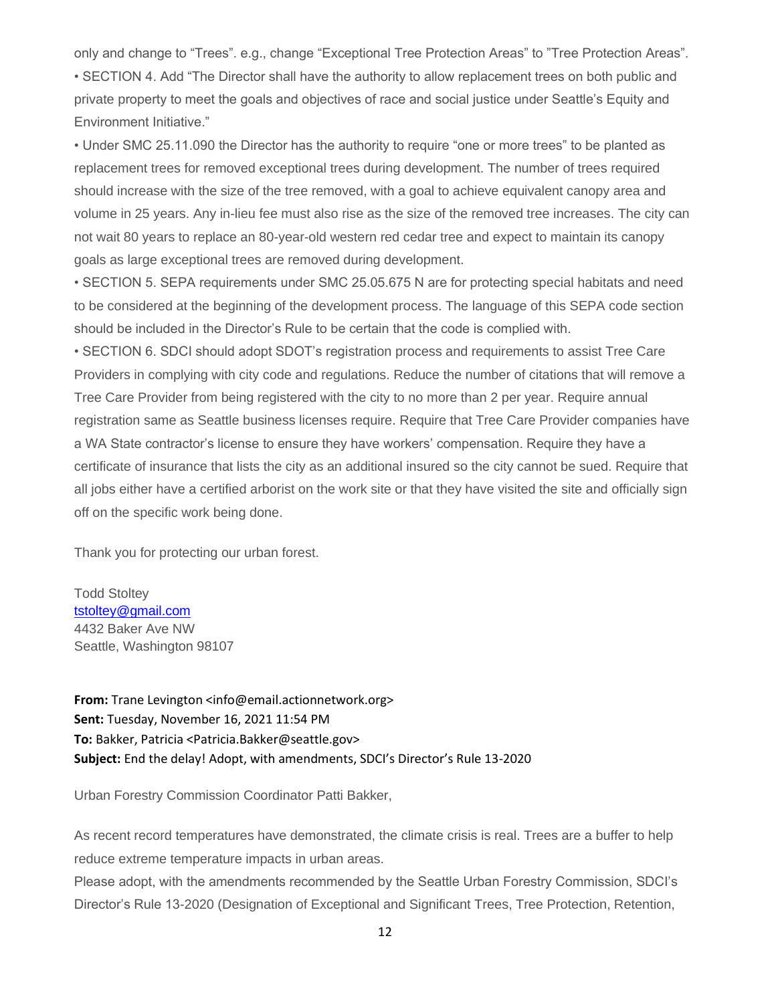only and change to "Trees". e.g., change "Exceptional Tree Protection Areas" to "Tree Protection Areas". • SECTION 4. Add "The Director shall have the authority to allow replacement trees on both public and private property to meet the goals and objectives of race and social justice under Seattle's Equity and Environment Initiative."

• Under SMC 25.11.090 the Director has the authority to require "one or more trees" to be planted as replacement trees for removed exceptional trees during development. The number of trees required should increase with the size of the tree removed, with a goal to achieve equivalent canopy area and volume in 25 years. Any in-lieu fee must also rise as the size of the removed tree increases. The city can not wait 80 years to replace an 80-year-old western red cedar tree and expect to maintain its canopy goals as large exceptional trees are removed during development.

• SECTION 5. SEPA requirements under SMC 25.05.675 N are for protecting special habitats and need to be considered at the beginning of the development process. The language of this SEPA code section should be included in the Director's Rule to be certain that the code is complied with.

• SECTION 6. SDCI should adopt SDOT's registration process and requirements to assist Tree Care Providers in complying with city code and regulations. Reduce the number of citations that will remove a Tree Care Provider from being registered with the city to no more than 2 per year. Require annual registration same as Seattle business licenses require. Require that Tree Care Provider companies have a WA State contractor's license to ensure they have workers' compensation. Require they have a certificate of insurance that lists the city as an additional insured so the city cannot be sued. Require that all jobs either have a certified arborist on the work site or that they have visited the site and officially sign off on the specific work being done.

Thank you for protecting our urban forest.

Todd Stoltey [tstoltey@gmail.com](mailto:tstoltey@gmail.com) 4432 Baker Ave NW Seattle, Washington 98107

**From:** Trane Levington <info@email.actionnetwork.org> **Sent:** Tuesday, November 16, 2021 11:54 PM **To:** Bakker, Patricia <Patricia.Bakker@seattle.gov> **Subject:** End the delay! Adopt, with amendments, SDCI's Director's Rule 13-2020

Urban Forestry Commission Coordinator Patti Bakker,

As recent record temperatures have demonstrated, the climate crisis is real. Trees are a buffer to help reduce extreme temperature impacts in urban areas.

Please adopt, with the amendments recommended by the Seattle Urban Forestry Commission, SDCI's Director's Rule 13-2020 (Designation of Exceptional and Significant Trees, Tree Protection, Retention,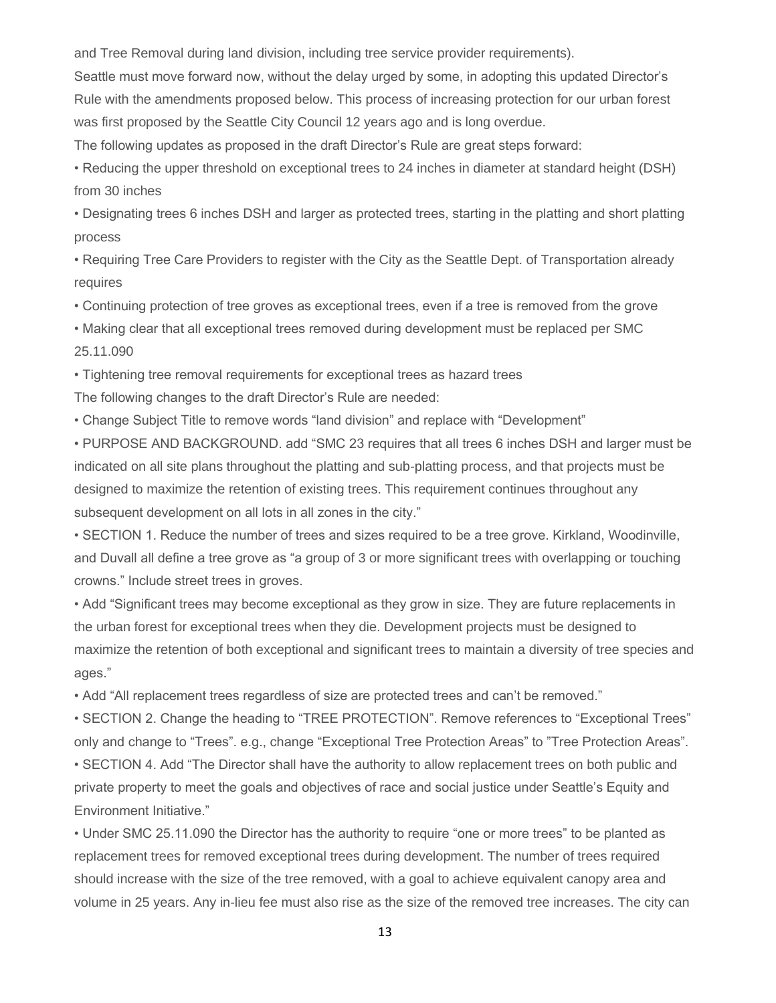and Tree Removal during land division, including tree service provider requirements).

Seattle must move forward now, without the delay urged by some, in adopting this updated Director's Rule with the amendments proposed below. This process of increasing protection for our urban forest was first proposed by the Seattle City Council 12 years ago and is long overdue.

The following updates as proposed in the draft Director's Rule are great steps forward:

• Reducing the upper threshold on exceptional trees to 24 inches in diameter at standard height (DSH) from 30 inches

• Designating trees 6 inches DSH and larger as protected trees, starting in the platting and short platting process

• Requiring Tree Care Providers to register with the City as the Seattle Dept. of Transportation already requires

• Continuing protection of tree groves as exceptional trees, even if a tree is removed from the grove

• Making clear that all exceptional trees removed during development must be replaced per SMC 25.11.090

• Tightening tree removal requirements for exceptional trees as hazard trees

The following changes to the draft Director's Rule are needed:

• Change Subject Title to remove words "land division" and replace with "Development"

• PURPOSE AND BACKGROUND. add "SMC 23 requires that all trees 6 inches DSH and larger must be indicated on all site plans throughout the platting and sub-platting process, and that projects must be designed to maximize the retention of existing trees. This requirement continues throughout any subsequent development on all lots in all zones in the city."

• SECTION 1. Reduce the number of trees and sizes required to be a tree grove. Kirkland, Woodinville, and Duvall all define a tree grove as "a group of 3 or more significant trees with overlapping or touching crowns." Include street trees in groves.

• Add "Significant trees may become exceptional as they grow in size. They are future replacements in the urban forest for exceptional trees when they die. Development projects must be designed to maximize the retention of both exceptional and significant trees to maintain a diversity of tree species and ages."

• Add "All replacement trees regardless of size are protected trees and can't be removed."

• SECTION 2. Change the heading to "TREE PROTECTION". Remove references to "Exceptional Trees" only and change to "Trees". e.g., change "Exceptional Tree Protection Areas" to "Tree Protection Areas".

• SECTION 4. Add "The Director shall have the authority to allow replacement trees on both public and private property to meet the goals and objectives of race and social justice under Seattle's Equity and Environment Initiative."

• Under SMC 25.11.090 the Director has the authority to require "one or more trees" to be planted as replacement trees for removed exceptional trees during development. The number of trees required should increase with the size of the tree removed, with a goal to achieve equivalent canopy area and volume in 25 years. Any in-lieu fee must also rise as the size of the removed tree increases. The city can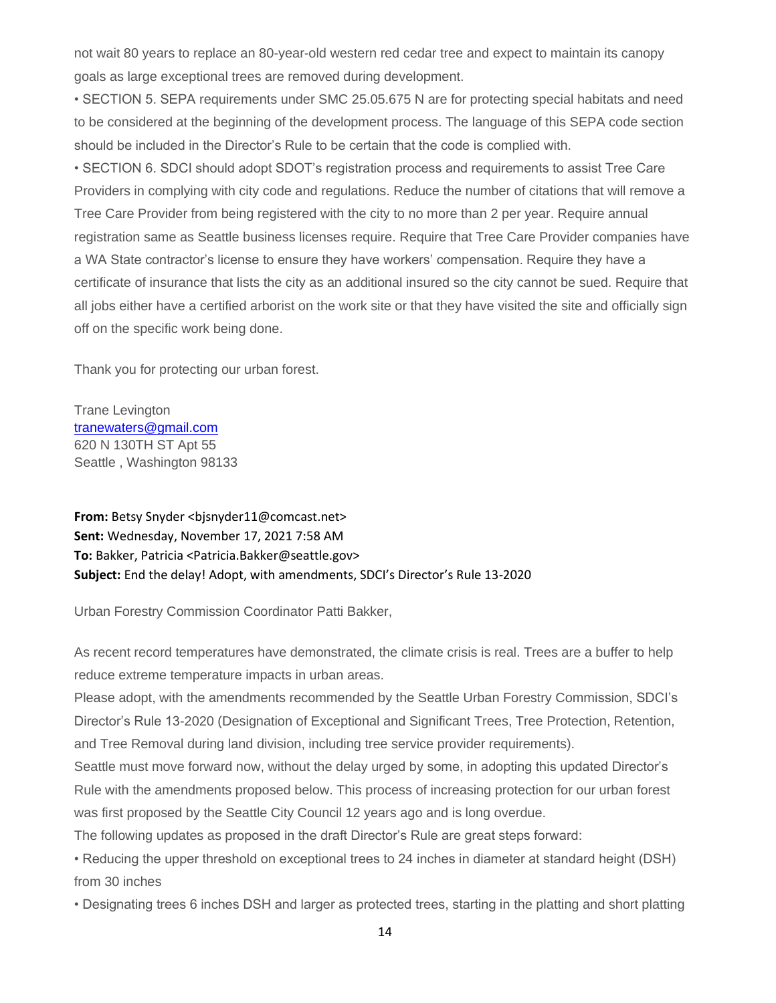not wait 80 years to replace an 80-year-old western red cedar tree and expect to maintain its canopy goals as large exceptional trees are removed during development.

• SECTION 5. SEPA requirements under SMC 25.05.675 N are for protecting special habitats and need to be considered at the beginning of the development process. The language of this SEPA code section should be included in the Director's Rule to be certain that the code is complied with.

• SECTION 6. SDCI should adopt SDOT's registration process and requirements to assist Tree Care Providers in complying with city code and regulations. Reduce the number of citations that will remove a Tree Care Provider from being registered with the city to no more than 2 per year. Require annual registration same as Seattle business licenses require. Require that Tree Care Provider companies have a WA State contractor's license to ensure they have workers' compensation. Require they have a certificate of insurance that lists the city as an additional insured so the city cannot be sued. Require that all jobs either have a certified arborist on the work site or that they have visited the site and officially sign off on the specific work being done.

Thank you for protecting our urban forest.

Trane Levington [tranewaters@gmail.com](mailto:tranewaters@gmail.com) 620 N 130TH ST Apt 55 Seattle , Washington 98133

From: Betsy Snyder <bisnyder11@comcast.net> **Sent:** Wednesday, November 17, 2021 7:58 AM **To:** Bakker, Patricia <Patricia.Bakker@seattle.gov> **Subject:** End the delay! Adopt, with amendments, SDCI's Director's Rule 13-2020

Urban Forestry Commission Coordinator Patti Bakker,

As recent record temperatures have demonstrated, the climate crisis is real. Trees are a buffer to help reduce extreme temperature impacts in urban areas.

Please adopt, with the amendments recommended by the Seattle Urban Forestry Commission, SDCI's Director's Rule 13-2020 (Designation of Exceptional and Significant Trees, Tree Protection, Retention, and Tree Removal during land division, including tree service provider requirements).

Seattle must move forward now, without the delay urged by some, in adopting this updated Director's Rule with the amendments proposed below. This process of increasing protection for our urban forest was first proposed by the Seattle City Council 12 years ago and is long overdue.

The following updates as proposed in the draft Director's Rule are great steps forward:

• Reducing the upper threshold on exceptional trees to 24 inches in diameter at standard height (DSH) from 30 inches

• Designating trees 6 inches DSH and larger as protected trees, starting in the platting and short platting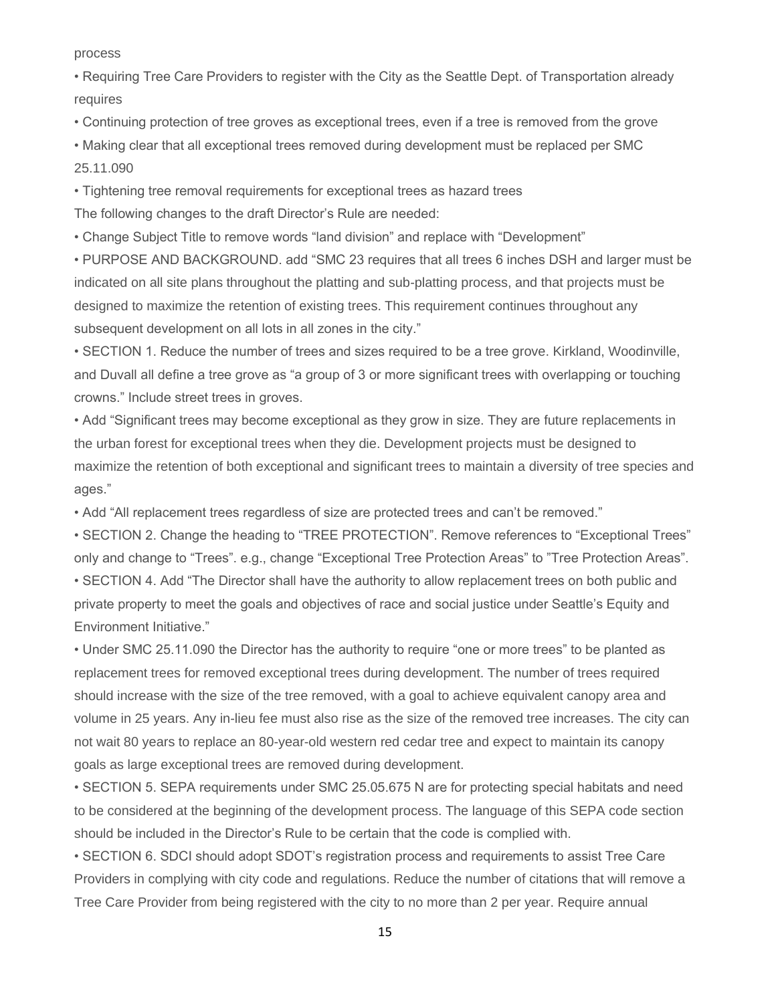process

• Requiring Tree Care Providers to register with the City as the Seattle Dept. of Transportation already requires

• Continuing protection of tree groves as exceptional trees, even if a tree is removed from the grove

• Making clear that all exceptional trees removed during development must be replaced per SMC 25.11.090

• Tightening tree removal requirements for exceptional trees as hazard trees

The following changes to the draft Director's Rule are needed:

• Change Subject Title to remove words "land division" and replace with "Development"

• PURPOSE AND BACKGROUND. add "SMC 23 requires that all trees 6 inches DSH and larger must be indicated on all site plans throughout the platting and sub-platting process, and that projects must be designed to maximize the retention of existing trees. This requirement continues throughout any subsequent development on all lots in all zones in the city."

• SECTION 1. Reduce the number of trees and sizes required to be a tree grove. Kirkland, Woodinville, and Duvall all define a tree grove as "a group of 3 or more significant trees with overlapping or touching crowns." Include street trees in groves.

• Add "Significant trees may become exceptional as they grow in size. They are future replacements in the urban forest for exceptional trees when they die. Development projects must be designed to maximize the retention of both exceptional and significant trees to maintain a diversity of tree species and ages."

• Add "All replacement trees regardless of size are protected trees and can't be removed."

• SECTION 2. Change the heading to "TREE PROTECTION". Remove references to "Exceptional Trees" only and change to "Trees". e.g., change "Exceptional Tree Protection Areas" to "Tree Protection Areas". • SECTION 4. Add "The Director shall have the authority to allow replacement trees on both public and private property to meet the goals and objectives of race and social justice under Seattle's Equity and Environment Initiative."

• Under SMC 25.11.090 the Director has the authority to require "one or more trees" to be planted as replacement trees for removed exceptional trees during development. The number of trees required should increase with the size of the tree removed, with a goal to achieve equivalent canopy area and volume in 25 years. Any in-lieu fee must also rise as the size of the removed tree increases. The city can not wait 80 years to replace an 80-year-old western red cedar tree and expect to maintain its canopy goals as large exceptional trees are removed during development.

• SECTION 5. SEPA requirements under SMC 25.05.675 N are for protecting special habitats and need to be considered at the beginning of the development process. The language of this SEPA code section should be included in the Director's Rule to be certain that the code is complied with.

• SECTION 6. SDCI should adopt SDOT's registration process and requirements to assist Tree Care Providers in complying with city code and regulations. Reduce the number of citations that will remove a Tree Care Provider from being registered with the city to no more than 2 per year. Require annual

15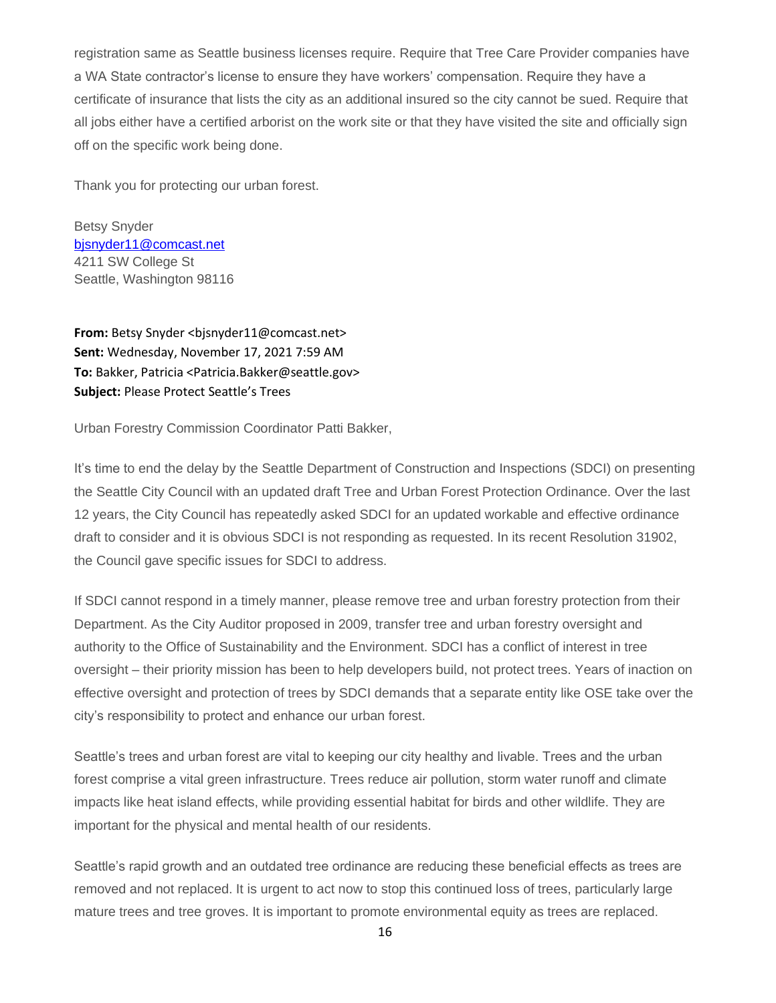registration same as Seattle business licenses require. Require that Tree Care Provider companies have a WA State contractor's license to ensure they have workers' compensation. Require they have a certificate of insurance that lists the city as an additional insured so the city cannot be sued. Require that all jobs either have a certified arborist on the work site or that they have visited the site and officially sign off on the specific work being done.

Thank you for protecting our urban forest.

Betsy Snyder [bjsnyder11@comcast.net](mailto:bjsnyder11@comcast.net) 4211 SW College St Seattle, Washington 98116

From: Betsy Snyder <bisnyder11@comcast.net> **Sent:** Wednesday, November 17, 2021 7:59 AM **To:** Bakker, Patricia <Patricia.Bakker@seattle.gov> **Subject:** Please Protect Seattle's Trees

Urban Forestry Commission Coordinator Patti Bakker,

It's time to end the delay by the Seattle Department of Construction and Inspections (SDCI) on presenting the Seattle City Council with an updated draft Tree and Urban Forest Protection Ordinance. Over the last 12 years, the City Council has repeatedly asked SDCI for an updated workable and effective ordinance draft to consider and it is obvious SDCI is not responding as requested. In its recent Resolution 31902, the Council gave specific issues for SDCI to address.

If SDCI cannot respond in a timely manner, please remove tree and urban forestry protection from their Department. As the City Auditor proposed in 2009, transfer tree and urban forestry oversight and authority to the Office of Sustainability and the Environment. SDCI has a conflict of interest in tree oversight – their priority mission has been to help developers build, not protect trees. Years of inaction on effective oversight and protection of trees by SDCI demands that a separate entity like OSE take over the city's responsibility to protect and enhance our urban forest.

Seattle's trees and urban forest are vital to keeping our city healthy and livable. Trees and the urban forest comprise a vital green infrastructure. Trees reduce air pollution, storm water runoff and climate impacts like heat island effects, while providing essential habitat for birds and other wildlife. They are important for the physical and mental health of our residents.

Seattle's rapid growth and an outdated tree ordinance are reducing these beneficial effects as trees are removed and not replaced. It is urgent to act now to stop this continued loss of trees, particularly large mature trees and tree groves. It is important to promote environmental equity as trees are replaced.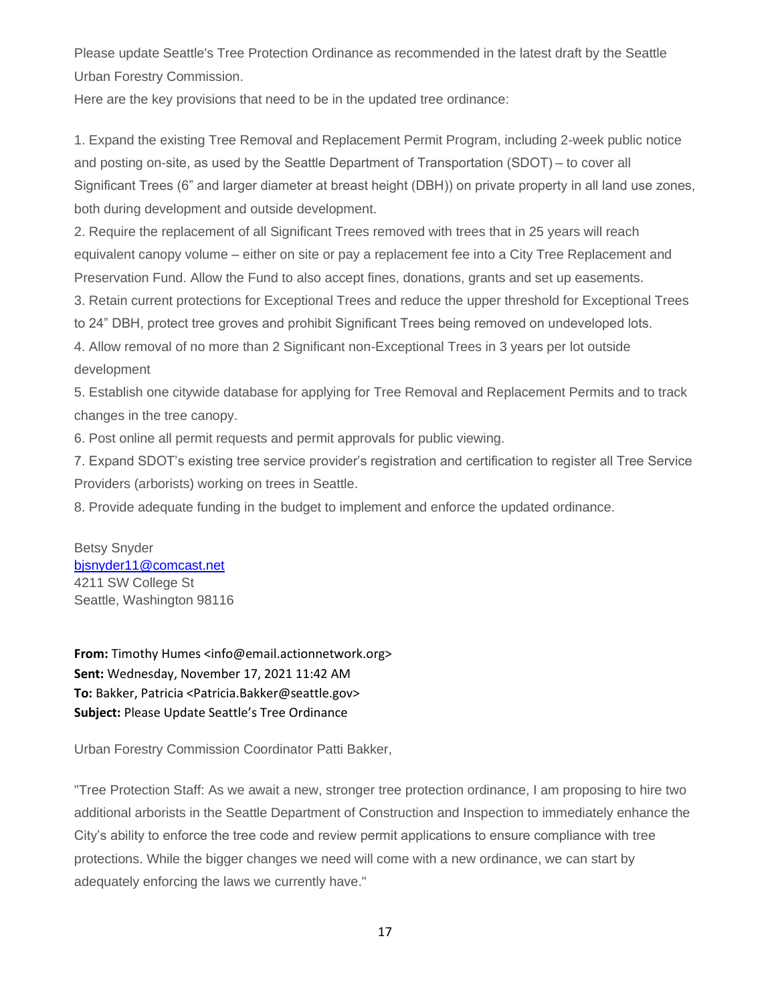Please update Seattle's Tree Protection Ordinance as recommended in the latest draft by the Seattle Urban Forestry Commission.

Here are the key provisions that need to be in the updated tree ordinance:

1. Expand the existing Tree Removal and Replacement Permit Program, including 2-week public notice and posting on-site, as used by the Seattle Department of Transportation (SDOT) – to cover all Significant Trees (6" and larger diameter at breast height (DBH)) on private property in all land use zones, both during development and outside development.

2. Require the replacement of all Significant Trees removed with trees that in 25 years will reach equivalent canopy volume – either on site or pay a replacement fee into a City Tree Replacement and Preservation Fund. Allow the Fund to also accept fines, donations, grants and set up easements.

3. Retain current protections for Exceptional Trees and reduce the upper threshold for Exceptional Trees

to 24" DBH, protect tree groves and prohibit Significant Trees being removed on undeveloped lots.

4. Allow removal of no more than 2 Significant non-Exceptional Trees in 3 years per lot outside development

5. Establish one citywide database for applying for Tree Removal and Replacement Permits and to track changes in the tree canopy.

6. Post online all permit requests and permit approvals for public viewing.

7. Expand SDOT's existing tree service provider's registration and certification to register all Tree Service Providers (arborists) working on trees in Seattle.

8. Provide adequate funding in the budget to implement and enforce the updated ordinance.

Betsy Snyder [bjsnyder11@comcast.net](mailto:bjsnyder11@comcast.net) 4211 SW College St Seattle, Washington 98116

**From:** Timothy Humes <info@email.actionnetwork.org> **Sent:** Wednesday, November 17, 2021 11:42 AM **To:** Bakker, Patricia <Patricia.Bakker@seattle.gov> **Subject:** Please Update Seattle's Tree Ordinance

Urban Forestry Commission Coordinator Patti Bakker,

"Tree Protection Staff: As we await a new, stronger tree protection ordinance, I am proposing to hire two additional arborists in the Seattle Department of Construction and Inspection to immediately enhance the City's ability to enforce the tree code and review permit applications to ensure compliance with tree protections. While the bigger changes we need will come with a new ordinance, we can start by adequately enforcing the laws we currently have."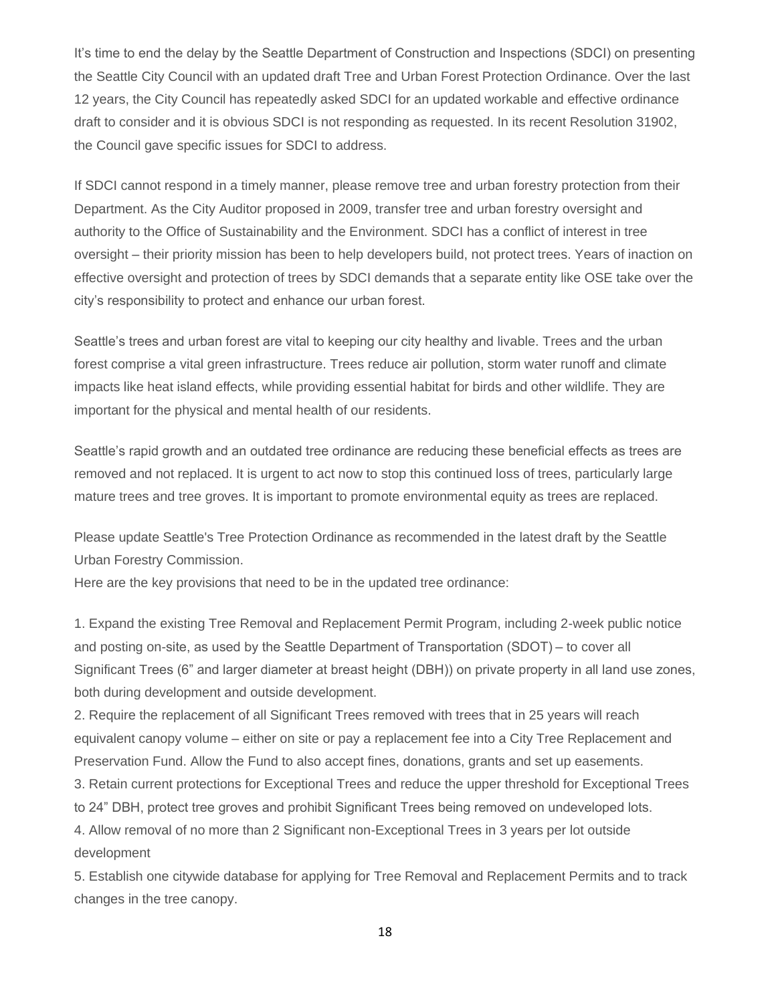It's time to end the delay by the Seattle Department of Construction and Inspections (SDCI) on presenting the Seattle City Council with an updated draft Tree and Urban Forest Protection Ordinance. Over the last 12 years, the City Council has repeatedly asked SDCI for an updated workable and effective ordinance draft to consider and it is obvious SDCI is not responding as requested. In its recent Resolution 31902, the Council gave specific issues for SDCI to address.

If SDCI cannot respond in a timely manner, please remove tree and urban forestry protection from their Department. As the City Auditor proposed in 2009, transfer tree and urban forestry oversight and authority to the Office of Sustainability and the Environment. SDCI has a conflict of interest in tree oversight – their priority mission has been to help developers build, not protect trees. Years of inaction on effective oversight and protection of trees by SDCI demands that a separate entity like OSE take over the city's responsibility to protect and enhance our urban forest.

Seattle's trees and urban forest are vital to keeping our city healthy and livable. Trees and the urban forest comprise a vital green infrastructure. Trees reduce air pollution, storm water runoff and climate impacts like heat island effects, while providing essential habitat for birds and other wildlife. They are important for the physical and mental health of our residents.

Seattle's rapid growth and an outdated tree ordinance are reducing these beneficial effects as trees are removed and not replaced. It is urgent to act now to stop this continued loss of trees, particularly large mature trees and tree groves. It is important to promote environmental equity as trees are replaced.

Please update Seattle's Tree Protection Ordinance as recommended in the latest draft by the Seattle Urban Forestry Commission.

Here are the key provisions that need to be in the updated tree ordinance:

1. Expand the existing Tree Removal and Replacement Permit Program, including 2-week public notice and posting on-site, as used by the Seattle Department of Transportation (SDOT) – to cover all Significant Trees (6" and larger diameter at breast height (DBH)) on private property in all land use zones, both during development and outside development.

2. Require the replacement of all Significant Trees removed with trees that in 25 years will reach equivalent canopy volume – either on site or pay a replacement fee into a City Tree Replacement and Preservation Fund. Allow the Fund to also accept fines, donations, grants and set up easements.

3. Retain current protections for Exceptional Trees and reduce the upper threshold for Exceptional Trees to 24" DBH, protect tree groves and prohibit Significant Trees being removed on undeveloped lots.

4. Allow removal of no more than 2 Significant non-Exceptional Trees in 3 years per lot outside development

5. Establish one citywide database for applying for Tree Removal and Replacement Permits and to track changes in the tree canopy.

18